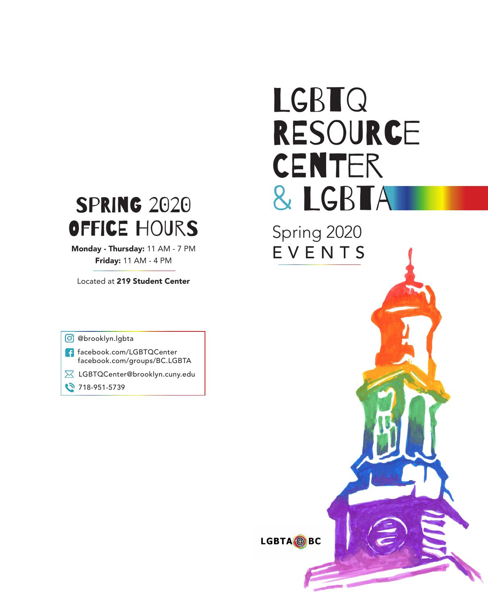# **SPRING 2020** Office Hours

Monday - Thursday: 11 AM - 7 PM Friday: 11 AM - 4 PM

Located at 219 Student Center

@brooklyn.lgbta

- facebook.com/LGBTQCenter facebook.com/groups/BC.LGBTA
- **X** LGBTQCenter@brooklyn.cuny.edu
- 18-951-5739

# LGBTQ RESOURCE **CENTER** & LGBTA

Spring 2020 EVENTS

LGBTA @BC